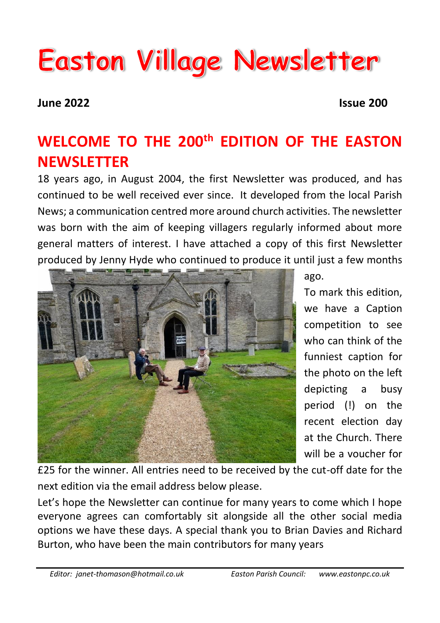# **Easton Village Newsletter**

**June 2022 Issue 200**

## **WELCOME TO THE 200th EDITION OF THE EASTON NEWSLETTER**

18 years ago, in August 2004, the first Newsletter was produced, and has continued to be well received ever since. It developed from the local Parish News; a communication centred more around church activities. The newsletter was born with the aim of keeping villagers regularly informed about more general matters of interest. I have attached a copy of this first Newsletter produced by Jenny Hyde who continued to produce it until just a few months



ago.

To mark this edition, we have a Caption competition to see who can think of the funniest caption for the photo on the left depicting a busy period (!) on the recent election day at the Church. There will be a voucher for

£25 for the winner. All entries need to be received by the cut-off date for the next edition via the email address below please.

Let's hope the Newsletter can continue for many years to come which I hope everyone agrees can comfortably sit alongside all the other social media options we have these days. A special thank you to Brian Davies and Richard Burton, who have been the main contributors for many years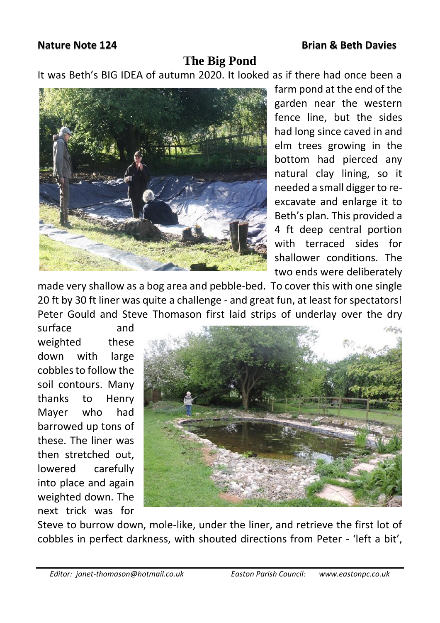#### **Nature Note 124 Brian & Beth Davies**

### **The Big Pond**

It was Beth's BIG IDEA of autumn 2020. It looked as if there had once been a



farm pond at the end of the garden near the western fence line, but the sides had long since caved in and elm trees growing in the bottom had pierced any natural clay lining, so it needed a small digger to reexcavate and enlarge it to Beth's plan. This provided a 4 ft deep central portion with terraced sides for shallower conditions. The two ends were deliberately

made very shallow as a bog area and pebble-bed. To cover this with one single 20 ft by 30 ft liner was quite a challenge - and great fun, at least for spectators! Peter Gould and Steve Thomason first laid strips of underlay over the dry

surface and weighted these down with large cobbles to follow the soil contours. Many thanks to Henry Mayer who had barrowed up tons of these. The liner was then stretched out, lowered carefully into place and again weighted down. The next trick was for



Steve to burrow down, mole-like, under the liner, and retrieve the first lot of cobbles in perfect darkness, with shouted directions from Peter - 'left a bit',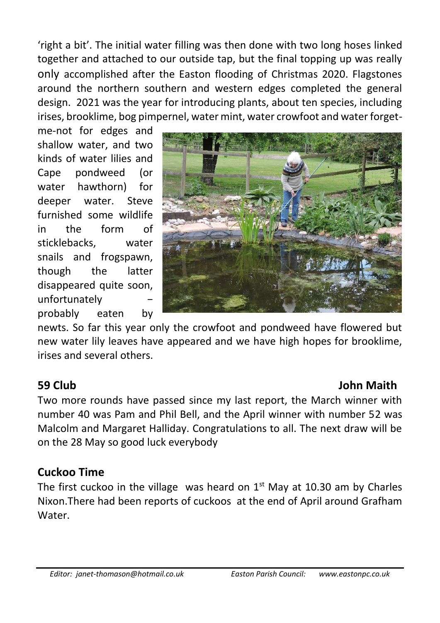'right a bit'. The initial water filling was then done with two long hoses linked together and attached to our outside tap, but the final topping up was really only accomplished after the Easton flooding of Christmas 2020. Flagstones around the northern southern and western edges completed the general design. 2021 was the year for introducing plants, about ten species, including irises, brooklime, bog pimpernel, water mint, water crowfoot and water forget-

me-not for edges and shallow water, and two kinds of water lilies and Cape pondweed (or water hawthorn) for deeper water. Steve furnished some wildlife in the form of sticklebacks, water snails and frogspawn, though the latter disappeared quite soon, unfortunately − probably eaten by



newts. So far this year only the crowfoot and pondweed have flowered but new water lily leaves have appeared and we have high hopes for brooklime, irises and several others.

### **59 Club John Maith**

Two more rounds have passed since my last report, the March winner with number 40 was Pam and Phil Bell, and the April winner with number 52 was Malcolm and Margaret Halliday. Congratulations to all. The next draw will be on the 28 May so good luck everybody

### **Cuckoo Time**

The first cuckoo in the village was heard on  $1<sup>st</sup>$  May at 10.30 am by Charles Nixon.There had been reports of cuckoos at the end of April around Grafham **Water**